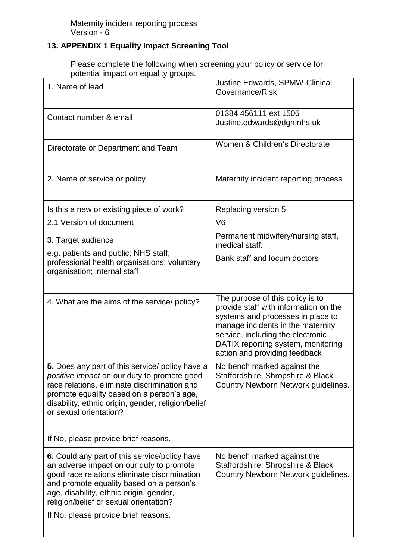## **13. APPENDIX 1 Equality Impact Screening Tool**

Please complete the following when screening your policy or service for potential impact on equality groups.

| 1. Name of lead                                                                                                                                                                                                                                                                                                     | Justine Edwards, SPMW-Clinical<br>Governance/Risk                                                                                                                                                                                                               |
|---------------------------------------------------------------------------------------------------------------------------------------------------------------------------------------------------------------------------------------------------------------------------------------------------------------------|-----------------------------------------------------------------------------------------------------------------------------------------------------------------------------------------------------------------------------------------------------------------|
| Contact number & email                                                                                                                                                                                                                                                                                              | 01384 456111 ext 1506<br>Justine.edwards@dgh.nhs.uk                                                                                                                                                                                                             |
| Directorate or Department and Team                                                                                                                                                                                                                                                                                  | Women & Children's Directorate                                                                                                                                                                                                                                  |
| 2. Name of service or policy                                                                                                                                                                                                                                                                                        | Maternity incident reporting process                                                                                                                                                                                                                            |
| Is this a new or existing piece of work?                                                                                                                                                                                                                                                                            | Replacing version 5                                                                                                                                                                                                                                             |
| 2.1 Version of document                                                                                                                                                                                                                                                                                             | V <sub>6</sub>                                                                                                                                                                                                                                                  |
| 3. Target audience                                                                                                                                                                                                                                                                                                  | Permanent midwifery/nursing staff,<br>medical staff.                                                                                                                                                                                                            |
| e.g. patients and public; NHS staff;<br>professional health organisations; voluntary<br>organisation; internal staff                                                                                                                                                                                                | Bank staff and locum doctors                                                                                                                                                                                                                                    |
| 4. What are the aims of the service/ policy?                                                                                                                                                                                                                                                                        | The purpose of this policy is to<br>provide staff with information on the<br>systems and processes in place to<br>manage incidents in the maternity<br>service, including the electronic<br>DATIX reporting system, monitoring<br>action and providing feedback |
| 5. Does any part of this service/ policy have a<br>positive impact on our duty to promote good<br>race relations, eliminate discrimination and<br>promote equality based on a person's age,<br>disability, ethnic origin, gender, religion/belief<br>or sexual orientation?<br>If No, please provide brief reasons. | No bench marked against the<br>Staffordshire, Shropshire & Black<br>Country Newborn Network guidelines.                                                                                                                                                         |
|                                                                                                                                                                                                                                                                                                                     |                                                                                                                                                                                                                                                                 |
| 6. Could any part of this service/policy have<br>an adverse impact on our duty to promote<br>good race relations eliminate discrimination<br>and promote equality based on a person's<br>age, disability, ethnic origin, gender,<br>religion/belief or sexual orientation?<br>If No, please provide brief reasons.  | No bench marked against the<br>Staffordshire, Shropshire & Black<br>Country Newborn Network guidelines.                                                                                                                                                         |